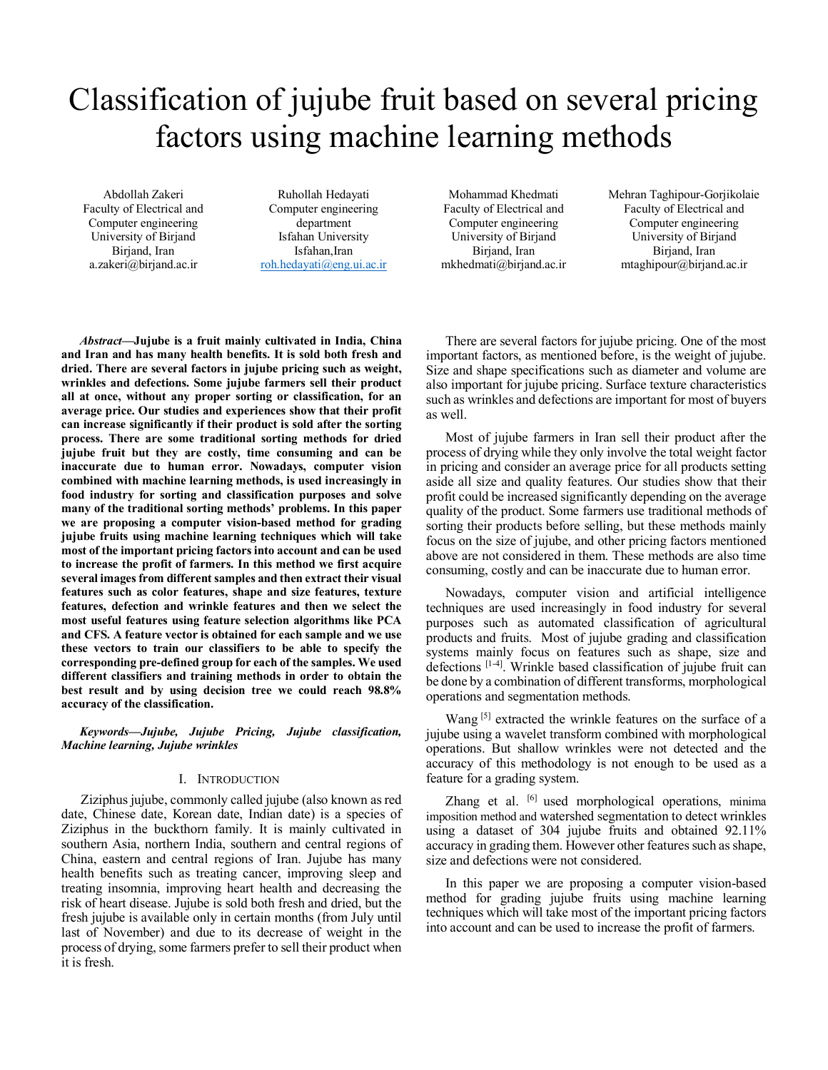# Classification of jujube fruit based on several pricing factors using machine learning methods

Abdollah Zakeri Faculty of Electrical and Computer engineering University of Birjand Birjand, Iran a.zakeri@birjand.ac.ir

Ruhollah Hedayati Computer engineering department Isfahan University Isfahan,Iran roh.hedayati@eng.ui.ac.ir

Mohammad Khedmati Faculty of Electrical and Computer engineering University of Birjand Birjand, Iran mkhedmati@birjand.ac.ir Mehran Taghipour-Gorjikolaie Faculty of Electrical and Computer engineering University of Birjand Birjand, Iran mtaghipour@birjand.ac.ir

*Abstract***—Jujube is a fruit mainly cultivated in India, China and Iran and has many health benefits. It is sold both fresh and dried. There are several factors in jujube pricing such as weight, wrinkles and defections. Some jujube farmers sell their product all at once, without any proper sorting or classification, for an average price. Our studies and experiences show that their profit can increase significantly if their product is sold after the sorting process. There are some traditional sorting methods for dried jujube fruit but they are costly, time consuming and can be inaccurate due to human error. Nowadays, computer vision combined with machine learning methods, is used increasingly in food industry for sorting and classification purposes and solve many of the traditional sorting methods' problems. In this paper we are proposing a computer vision-based method for grading jujube fruits using machine learning techniques which will take most of the important pricing factors into account and can be used to increase the profit of farmers. In this method we first acquire several images from different samples and then extract their visual features such as color features, shape and size features, texture features, defection and wrinkle features and then we select the most useful features using feature selection algorithms like PCA and CFS. A feature vector is obtained for each sample and we use these vectors to train our classifiers to be able to specify the corresponding pre-defined group for each of the samples. We used different classifiers and training methods in order to obtain the best result and by using decision tree we could reach 98.8% accuracy of the classification.**

*Keywords—Jujube, Jujube Pricing, Jujube classification, Machine learning, Jujube wrinkles*

#### I. INTRODUCTION

Ziziphus jujube, commonly called jujube (also known asred date, Chinese date, Korean date, Indian date) is a species of Ziziphus in the buckthorn family. It is mainly cultivated in southern Asia, northern India, southern and central regions of China, eastern and central regions of Iran. Jujube has many health benefits such as treating cancer, improving sleep and treating insomnia, improving heart health and decreasing the risk of heart disease. Jujube is sold both fresh and dried, but the fresh jujube is available only in certain months (from July until last of November) and due to its decrease of weight in the process of drying, some farmers prefer to sell their product when it is fresh.

There are several factors for jujube pricing. One of the most important factors, as mentioned before, is the weight of jujube. Size and shape specifications such as diameter and volume are also important for jujube pricing. Surface texture characteristics such as wrinkles and defections are important for most of buyers as well.

Most of jujube farmers in Iran sell their product after the process of drying while they only involve the total weight factor in pricing and consider an average price for all products setting aside all size and quality features. Our studies show that their profit could be increased significantly depending on the average quality of the product. Some farmers use traditional methods of sorting their products before selling, but these methods mainly focus on the size of jujube, and other pricing factors mentioned above are not considered in them. These methods are also time consuming, costly and can be inaccurate due to human error.

Nowadays, computer vision and artificial intelligence techniques are used increasingly in food industry for several purposes such as automated classification of agricultural products and fruits. Most of jujube grading and classification systems mainly focus on features such as shape, size and defections [1-4]. Wrinkle based classification of jujube fruit can be done by a combination of different transforms, morphological operations and segmentation methods.

Wang [5] extracted the wrinkle features on the surface of a jujube using a wavelet transform combined with morphological operations. But shallow wrinkles were not detected and the accuracy of this methodology is not enough to be used as a feature for a grading system.

Zhang et al. <sup>[6]</sup> used morphological operations, minima imposition method and watershed segmentation to detect wrinkles using a dataset of 304 jujube fruits and obtained 92.11% accuracy in grading them. However other features such as shape, size and defections were not considered.

In this paper we are proposing a computer vision-based method for grading jujube fruits using machine learning techniques which will take most of the important pricing factors into account and can be used to increase the profit of farmers.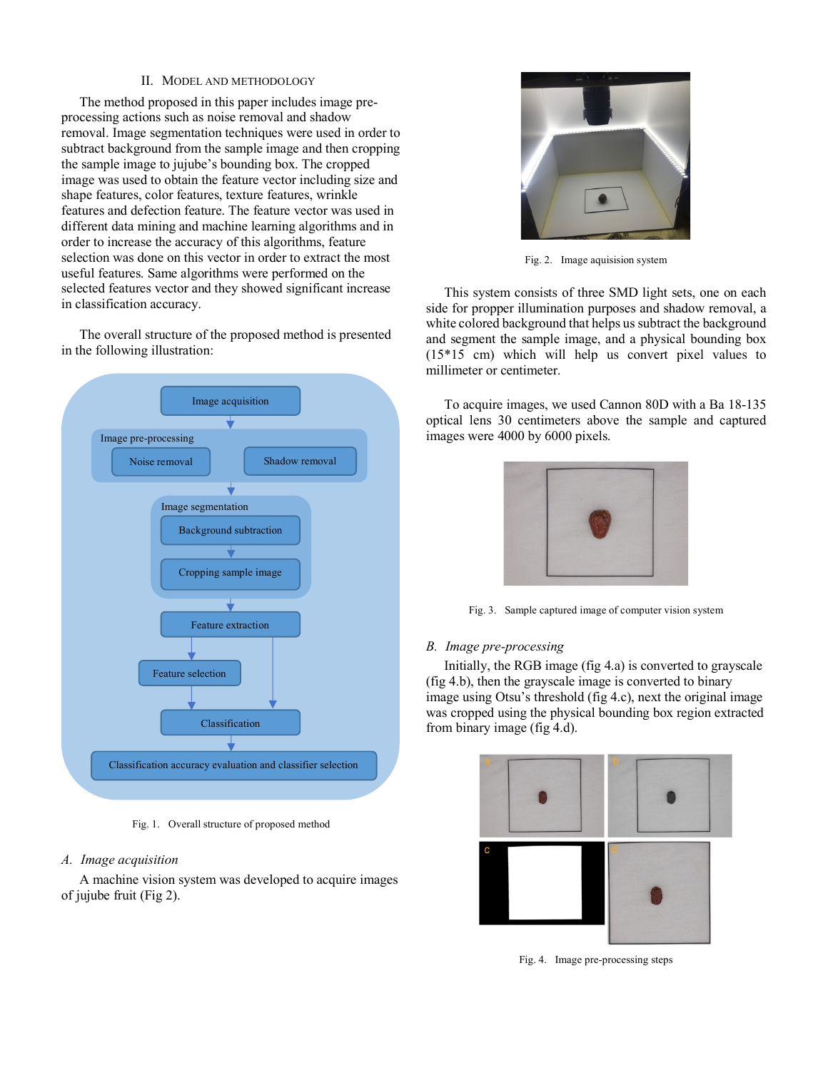## II. MODEL AND METHODOLOGY

The method proposed in this paper includes image preprocessing actions such as noise removal and shadow removal. Image segmentation techniques were used in order to subtract background from the sample image and then cropping the sample image to jujube's bounding box. The cropped image was used to obtain the feature vector including size and shape features, color features, texture features, wrinkle features and defection feature. The feature vector was used in different data mining and machine learning algorithms and in order to increase the accuracy of this algorithms, feature selection was done on this vector in order to extract the most useful features. Same algorithms were performed on the selected features vector and they showed significant increase in classification accuracy.

The overall structure of the proposed method is presented in the following illustration:



Fig. 1. Overall structure of proposed method

# *A. Image acquisition*

A machine vision system was developed to acquire images of jujube fruit (Fig 2).



Fig. 2. Image aquisision system

This system consists of three SMD light sets, one on each side for propper illumination purposes and shadow removal, a white colored background that helps us subtract the background and segment the sample image, and a physical bounding box (15\*15 cm) which will help us convert pixel values to millimeter or centimeter.

To acquire images, we used Cannon 80D with a Ba 18-135 optical lens 30 centimeters above the sample and captured images were 4000 by 6000 pixels.



Fig. 3. Sample captured image of computer vision system

## *B. Image pre-processing*

Initially, the RGB image (fig 4.a) is converted to grayscale (fig 4.b), then the grayscale image is converted to binary image using Otsu's threshold (fig 4.c), next the original image was cropped using the physical bounding box region extracted from binary image (fig 4.d).



Fig. 4. Image pre-processing steps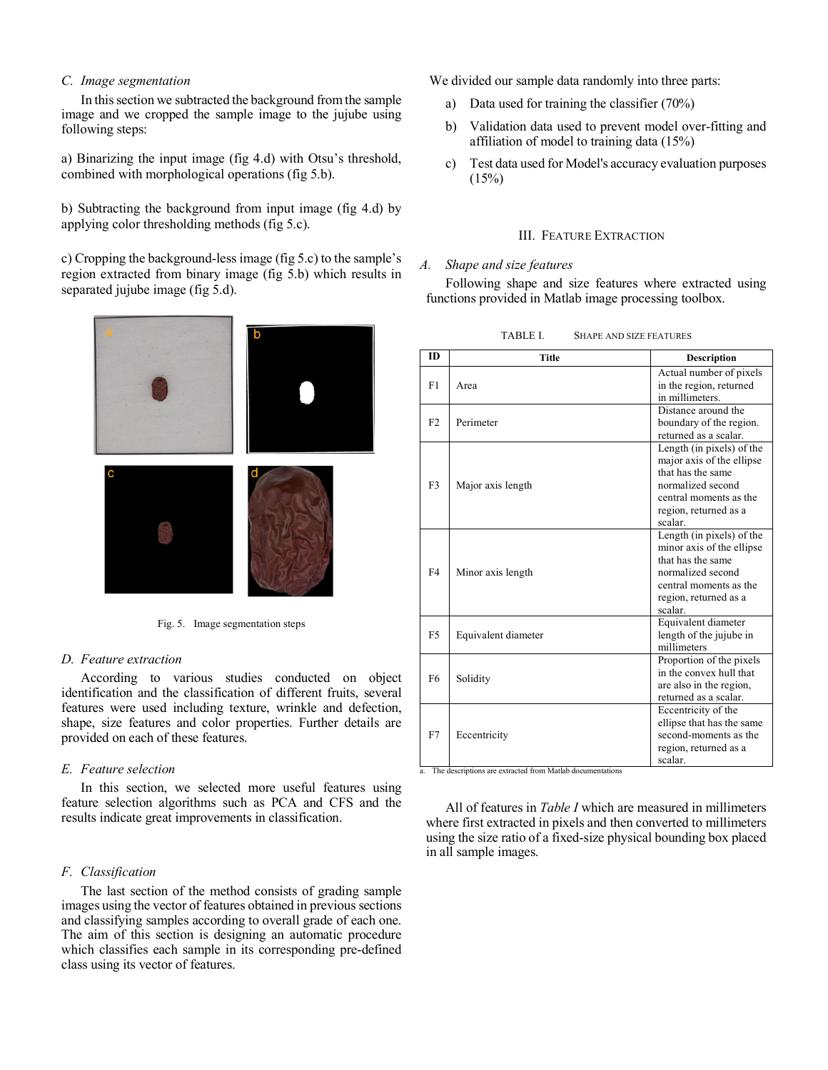#### *C. Image segmentation*

In this section we subtracted the background from the sample image and we cropped the sample image to the jujube using following steps:

a) Binarizing the input image (fig 4.d) with Otsu's threshold, combined with morphological operations (fig 5.b).

b) Subtracting the background from input image (fig 4.d) by applying color thresholding methods (fig 5.c).

c) Cropping the background-less image (fig 5.c) to the sample's region extracted from binary image (fig 5.b) which results in separated jujube image (fig 5.d).



Fig. 5. Image segmentation steps

#### *D. Feature extraction*

According to various studies conducted on object identification and the classification of different fruits, several features were used including texture, wrinkle and defection, shape, size features and color properties. Further details are provided on each of these features.

#### *E. Feature selection*

In this section, we selected more useful features using feature selection algorithms such as PCA and CFS and the results indicate great improvements in classification.

#### *F. Classification*

The last section of the method consists of grading sample images using the vector of features obtained in previous sections and classifying samples according to overall grade of each one. The aim of this section is designing an automatic procedure which classifies each sample in its corresponding pre-defined class using its vector of features.

We divided our sample data randomly into three parts:

- a) Data used for training the classifier (70%)
- b) Validation data used to prevent model over-fitting and affiliation of model to training data (15%)
- c) Test data used for Model's accuracy evaluation purposes  $(15%)$

#### III. FEATURE EXTRACTION

## *A. Shape and size features*

Following shape and size features where extracted using functions provided in Matlab image processing toolbox.

| <b>ID</b>      | <b>Title</b>        | Description                                                                                                                                                    |
|----------------|---------------------|----------------------------------------------------------------------------------------------------------------------------------------------------------------|
| F1             | Area                | Actual number of pixels<br>in the region, returned<br>in millimeters.                                                                                          |
| F2             | Perimeter           | Distance around the<br>boundary of the region.<br>returned as a scalar.                                                                                        |
| F <sub>3</sub> | Major axis length   | Length (in pixels) of the<br>major axis of the ellipse<br>that has the same<br>normalized second<br>central moments as the<br>region, returned as a<br>scalar. |
| FA             | Minor axis length   | Length (in pixels) of the<br>minor axis of the ellipse<br>that has the same<br>normalized second<br>central moments as the<br>region, returned as a<br>scalar. |
| F5             | Equivalent diameter | Equivalent diameter<br>length of the jujube in<br>millimeters                                                                                                  |
| F <sub>6</sub> | Solidity            | Proportion of the pixels<br>in the convex hull that<br>are also in the region,<br>returned as a scalar.                                                        |
| F7             | Eccentricity        | Eccentricity of the<br>ellipse that has the same<br>second-moments as the<br>region, returned as a<br>scalar.                                                  |

TABLE I. SHAPE AND SIZE FEATURES

a. The descriptions are extracted from Matlab documentations

All of features in *Table I* which are measured in millimeters where first extracted in pixels and then converted to millimeters using the size ratio of a fixed-size physical bounding box placed in all sample images.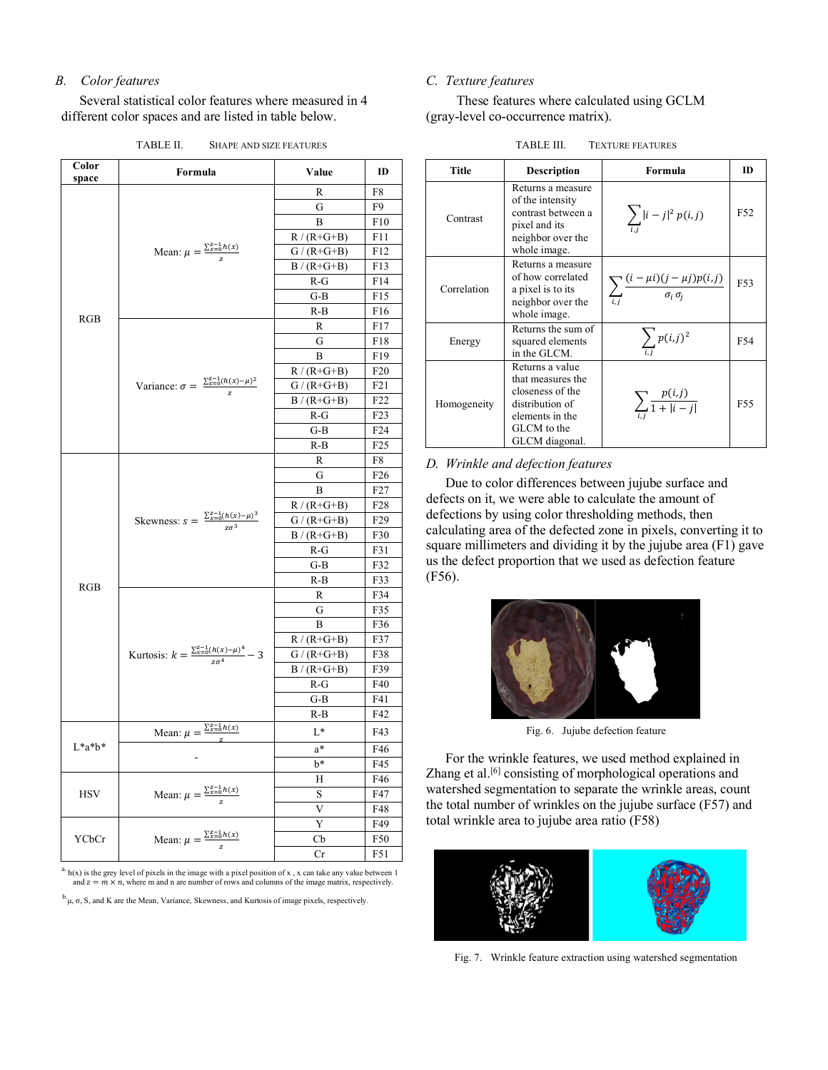# *B. Color features*

Several statistical color features where measured in 4 different color spaces and are listed in table below.

TABLE II. SHAPE AND SIZE FEATURES

| R<br>F8<br>G<br>F9<br>B<br>F10<br>$R/(R+G+B)$<br>F11<br>Mean: $\mu = \frac{\sum_{x=0}^{z-1} h(x)}{z}$<br>$G/(R+G+B)$<br>F12<br>$B/(R+G+B)$<br>F13<br>$R-G$<br>F14<br>G-B<br>F15<br>R-B<br>F16<br>RGB<br>F17<br>R<br>G<br>F18<br>B<br>F19<br>$R/(R+G+B)$<br>F20<br>Variance: $\sigma = \frac{\sum_{x=0}^{z-1} (h(x)-\mu)^2}{z}$<br>$G/(R+G+B)$<br>F21<br>$B/(R+G+B)$<br>F22<br>R-G<br>F <sub>2</sub> 3<br>G-B<br>F24<br>F <sub>25</sub><br>R-B<br>R<br>F8<br>G<br>F <sub>26</sub><br>B<br>F27<br>$R/(R+G+B)$<br>F <sub>2</sub> 8<br>Skewness: $s = \frac{\sum_{x=0}^{z-1} (h(x)-\mu)^3}{z\sigma^3}$<br>$G/(R+G+B)$<br>F29<br>$B/(R+G+B)$<br>F30<br>F31<br>R-G<br>G-B<br>F32<br>R-B<br>F33<br>RGB<br>F34<br>R<br>F35<br>G<br>В<br>F36<br>F37<br>$R/(R+G+B)$<br>Kurtosis: $k = \frac{\sum_{x=0}^{z-1} (h(x) - \mu)^4}{z \sigma^4} - 3$<br>$G/(R+G+B)$<br>F38<br>$B/(R+G+B)$<br>F39<br>$R-G$<br>F40<br>G-B<br>F41<br>R-B<br>F42<br>Mean: $\mu = \frac{\sum_{x=0}^{z-1} h(x)}{z}$<br>L*<br>F43<br>$L^*a^*b^*$<br>F46<br>a*<br>b*<br>F45<br>F46<br>Н<br>Mean: $\mu = \frac{\sum_{x=0}^{z-1} h(x)}{z}$<br><b>HSV</b><br>S<br>F47<br>V<br>F48<br>Y<br>F49<br>Mean: $\mu = \frac{\sum_{x=0}^{z-1} h(x)}{z}$<br>YCbCr<br>Сb<br>F50<br>Cr<br>F51 | Color<br>space | Formula | Value | ID |
|---------------------------------------------------------------------------------------------------------------------------------------------------------------------------------------------------------------------------------------------------------------------------------------------------------------------------------------------------------------------------------------------------------------------------------------------------------------------------------------------------------------------------------------------------------------------------------------------------------------------------------------------------------------------------------------------------------------------------------------------------------------------------------------------------------------------------------------------------------------------------------------------------------------------------------------------------------------------------------------------------------------------------------------------------------------------------------------------------------------------------------------------------------------------------------------------------------------------------------------|----------------|---------|-------|----|
|                                                                                                                                                                                                                                                                                                                                                                                                                                                                                                                                                                                                                                                                                                                                                                                                                                                                                                                                                                                                                                                                                                                                                                                                                                       |                |         |       |    |
|                                                                                                                                                                                                                                                                                                                                                                                                                                                                                                                                                                                                                                                                                                                                                                                                                                                                                                                                                                                                                                                                                                                                                                                                                                       |                |         |       |    |
|                                                                                                                                                                                                                                                                                                                                                                                                                                                                                                                                                                                                                                                                                                                                                                                                                                                                                                                                                                                                                                                                                                                                                                                                                                       |                |         |       |    |
|                                                                                                                                                                                                                                                                                                                                                                                                                                                                                                                                                                                                                                                                                                                                                                                                                                                                                                                                                                                                                                                                                                                                                                                                                                       |                |         |       |    |
|                                                                                                                                                                                                                                                                                                                                                                                                                                                                                                                                                                                                                                                                                                                                                                                                                                                                                                                                                                                                                                                                                                                                                                                                                                       |                |         |       |    |
|                                                                                                                                                                                                                                                                                                                                                                                                                                                                                                                                                                                                                                                                                                                                                                                                                                                                                                                                                                                                                                                                                                                                                                                                                                       |                |         |       |    |
|                                                                                                                                                                                                                                                                                                                                                                                                                                                                                                                                                                                                                                                                                                                                                                                                                                                                                                                                                                                                                                                                                                                                                                                                                                       |                |         |       |    |
|                                                                                                                                                                                                                                                                                                                                                                                                                                                                                                                                                                                                                                                                                                                                                                                                                                                                                                                                                                                                                                                                                                                                                                                                                                       |                |         |       |    |
|                                                                                                                                                                                                                                                                                                                                                                                                                                                                                                                                                                                                                                                                                                                                                                                                                                                                                                                                                                                                                                                                                                                                                                                                                                       |                |         |       |    |
|                                                                                                                                                                                                                                                                                                                                                                                                                                                                                                                                                                                                                                                                                                                                                                                                                                                                                                                                                                                                                                                                                                                                                                                                                                       |                |         |       |    |
|                                                                                                                                                                                                                                                                                                                                                                                                                                                                                                                                                                                                                                                                                                                                                                                                                                                                                                                                                                                                                                                                                                                                                                                                                                       |                |         |       |    |
|                                                                                                                                                                                                                                                                                                                                                                                                                                                                                                                                                                                                                                                                                                                                                                                                                                                                                                                                                                                                                                                                                                                                                                                                                                       |                |         |       |    |
|                                                                                                                                                                                                                                                                                                                                                                                                                                                                                                                                                                                                                                                                                                                                                                                                                                                                                                                                                                                                                                                                                                                                                                                                                                       |                |         |       |    |
|                                                                                                                                                                                                                                                                                                                                                                                                                                                                                                                                                                                                                                                                                                                                                                                                                                                                                                                                                                                                                                                                                                                                                                                                                                       |                |         |       |    |
|                                                                                                                                                                                                                                                                                                                                                                                                                                                                                                                                                                                                                                                                                                                                                                                                                                                                                                                                                                                                                                                                                                                                                                                                                                       |                |         |       |    |
|                                                                                                                                                                                                                                                                                                                                                                                                                                                                                                                                                                                                                                                                                                                                                                                                                                                                                                                                                                                                                                                                                                                                                                                                                                       |                |         |       |    |
|                                                                                                                                                                                                                                                                                                                                                                                                                                                                                                                                                                                                                                                                                                                                                                                                                                                                                                                                                                                                                                                                                                                                                                                                                                       |                |         |       |    |
|                                                                                                                                                                                                                                                                                                                                                                                                                                                                                                                                                                                                                                                                                                                                                                                                                                                                                                                                                                                                                                                                                                                                                                                                                                       |                |         |       |    |
|                                                                                                                                                                                                                                                                                                                                                                                                                                                                                                                                                                                                                                                                                                                                                                                                                                                                                                                                                                                                                                                                                                                                                                                                                                       |                |         |       |    |
|                                                                                                                                                                                                                                                                                                                                                                                                                                                                                                                                                                                                                                                                                                                                                                                                                                                                                                                                                                                                                                                                                                                                                                                                                                       |                |         |       |    |
|                                                                                                                                                                                                                                                                                                                                                                                                                                                                                                                                                                                                                                                                                                                                                                                                                                                                                                                                                                                                                                                                                                                                                                                                                                       |                |         |       |    |
|                                                                                                                                                                                                                                                                                                                                                                                                                                                                                                                                                                                                                                                                                                                                                                                                                                                                                                                                                                                                                                                                                                                                                                                                                                       |                |         |       |    |
|                                                                                                                                                                                                                                                                                                                                                                                                                                                                                                                                                                                                                                                                                                                                                                                                                                                                                                                                                                                                                                                                                                                                                                                                                                       |                |         |       |    |
|                                                                                                                                                                                                                                                                                                                                                                                                                                                                                                                                                                                                                                                                                                                                                                                                                                                                                                                                                                                                                                                                                                                                                                                                                                       |                |         |       |    |
|                                                                                                                                                                                                                                                                                                                                                                                                                                                                                                                                                                                                                                                                                                                                                                                                                                                                                                                                                                                                                                                                                                                                                                                                                                       |                |         |       |    |
|                                                                                                                                                                                                                                                                                                                                                                                                                                                                                                                                                                                                                                                                                                                                                                                                                                                                                                                                                                                                                                                                                                                                                                                                                                       |                |         |       |    |
|                                                                                                                                                                                                                                                                                                                                                                                                                                                                                                                                                                                                                                                                                                                                                                                                                                                                                                                                                                                                                                                                                                                                                                                                                                       |                |         |       |    |
|                                                                                                                                                                                                                                                                                                                                                                                                                                                                                                                                                                                                                                                                                                                                                                                                                                                                                                                                                                                                                                                                                                                                                                                                                                       |                |         |       |    |
|                                                                                                                                                                                                                                                                                                                                                                                                                                                                                                                                                                                                                                                                                                                                                                                                                                                                                                                                                                                                                                                                                                                                                                                                                                       |                |         |       |    |
|                                                                                                                                                                                                                                                                                                                                                                                                                                                                                                                                                                                                                                                                                                                                                                                                                                                                                                                                                                                                                                                                                                                                                                                                                                       |                |         |       |    |
|                                                                                                                                                                                                                                                                                                                                                                                                                                                                                                                                                                                                                                                                                                                                                                                                                                                                                                                                                                                                                                                                                                                                                                                                                                       |                |         |       |    |
|                                                                                                                                                                                                                                                                                                                                                                                                                                                                                                                                                                                                                                                                                                                                                                                                                                                                                                                                                                                                                                                                                                                                                                                                                                       |                |         |       |    |
|                                                                                                                                                                                                                                                                                                                                                                                                                                                                                                                                                                                                                                                                                                                                                                                                                                                                                                                                                                                                                                                                                                                                                                                                                                       |                |         |       |    |
|                                                                                                                                                                                                                                                                                                                                                                                                                                                                                                                                                                                                                                                                                                                                                                                                                                                                                                                                                                                                                                                                                                                                                                                                                                       |                |         |       |    |
|                                                                                                                                                                                                                                                                                                                                                                                                                                                                                                                                                                                                                                                                                                                                                                                                                                                                                                                                                                                                                                                                                                                                                                                                                                       |                |         |       |    |
|                                                                                                                                                                                                                                                                                                                                                                                                                                                                                                                                                                                                                                                                                                                                                                                                                                                                                                                                                                                                                                                                                                                                                                                                                                       |                |         |       |    |
|                                                                                                                                                                                                                                                                                                                                                                                                                                                                                                                                                                                                                                                                                                                                                                                                                                                                                                                                                                                                                                                                                                                                                                                                                                       |                |         |       |    |
|                                                                                                                                                                                                                                                                                                                                                                                                                                                                                                                                                                                                                                                                                                                                                                                                                                                                                                                                                                                                                                                                                                                                                                                                                                       |                |         |       |    |
|                                                                                                                                                                                                                                                                                                                                                                                                                                                                                                                                                                                                                                                                                                                                                                                                                                                                                                                                                                                                                                                                                                                                                                                                                                       |                |         |       |    |
|                                                                                                                                                                                                                                                                                                                                                                                                                                                                                                                                                                                                                                                                                                                                                                                                                                                                                                                                                                                                                                                                                                                                                                                                                                       |                |         |       |    |
|                                                                                                                                                                                                                                                                                                                                                                                                                                                                                                                                                                                                                                                                                                                                                                                                                                                                                                                                                                                                                                                                                                                                                                                                                                       |                |         |       |    |
|                                                                                                                                                                                                                                                                                                                                                                                                                                                                                                                                                                                                                                                                                                                                                                                                                                                                                                                                                                                                                                                                                                                                                                                                                                       |                |         |       |    |
|                                                                                                                                                                                                                                                                                                                                                                                                                                                                                                                                                                                                                                                                                                                                                                                                                                                                                                                                                                                                                                                                                                                                                                                                                                       |                |         |       |    |
|                                                                                                                                                                                                                                                                                                                                                                                                                                                                                                                                                                                                                                                                                                                                                                                                                                                                                                                                                                                                                                                                                                                                                                                                                                       |                |         |       |    |
|                                                                                                                                                                                                                                                                                                                                                                                                                                                                                                                                                                                                                                                                                                                                                                                                                                                                                                                                                                                                                                                                                                                                                                                                                                       |                |         |       |    |

 $a.$  h(x) is the grey level of pixels in the image with a pixel position of x, x can take any value between 1 and  $z = m \times n$ , where m and n are number of rows and columns of the image matrix, respectively.

 $^{b}$ . $\mu$ ,  $\sigma$ , S, and K are the Mean, Variance, Skewness, and Kurtosis of image pixels, respectively.

## *C. Texture features*

These features where calculated using GCLM (gray-level co-occurrence matrix).

| Title       | <b>Description</b>                                                                                                              | Formula                                                            | <b>ID</b>       |
|-------------|---------------------------------------------------------------------------------------------------------------------------------|--------------------------------------------------------------------|-----------------|
| Contrast    | Returns a measure<br>of the intensity<br>contrast between a<br>pixel and its<br>neighbor over the<br>whole image.               | $\sum_{i \, i}  i - j ^2 p(i, j)$                                  | F <sub>52</sub> |
| Correlation | Returns a measure<br>of how correlated<br>a pixel is to its<br>neighbor over the<br>whole image.                                | $\sum_{i} \frac{(i - \mu i)(j - \mu j)p(i, j)}{\sigma_i \sigma_i}$ | F53             |
| Energy      | Returns the sum of<br>squared elements<br>in the GLCM.                                                                          | $\sum p(i,j)^2$                                                    | F54             |
| Homogeneity | Returns a value<br>that measures the<br>closeness of the<br>distribution of<br>elements in the<br>GLCM to the<br>GLCM diagonal. | $\sum_{i} \frac{p(i,j)}{1+ i-j }$                                  | F55             |

#### TABLE III. TEXTURE FEATURES

## *D. Wrinkle and defection features*

Due to color differences between jujube surface and defects on it, we were able to calculate the amount of defections by using color thresholding methods, then calculating area of the defected zone in pixels, converting it to square millimeters and dividing it by the jujube area (F1) gave us the defect proportion that we used as defection feature (F56).



Fig. 6. Jujube defection feature

For the wrinkle features, we used method explained in Zhang et al.<sup>[6]</sup> consisting of morphological operations and watershed segmentation to separate the wrinkle areas, count the total number of wrinkles on the jujube surface (F57) and total wrinkle area to jujube area ratio (F58)



Fig. 7. Wrinkle feature extraction using watershed segmentation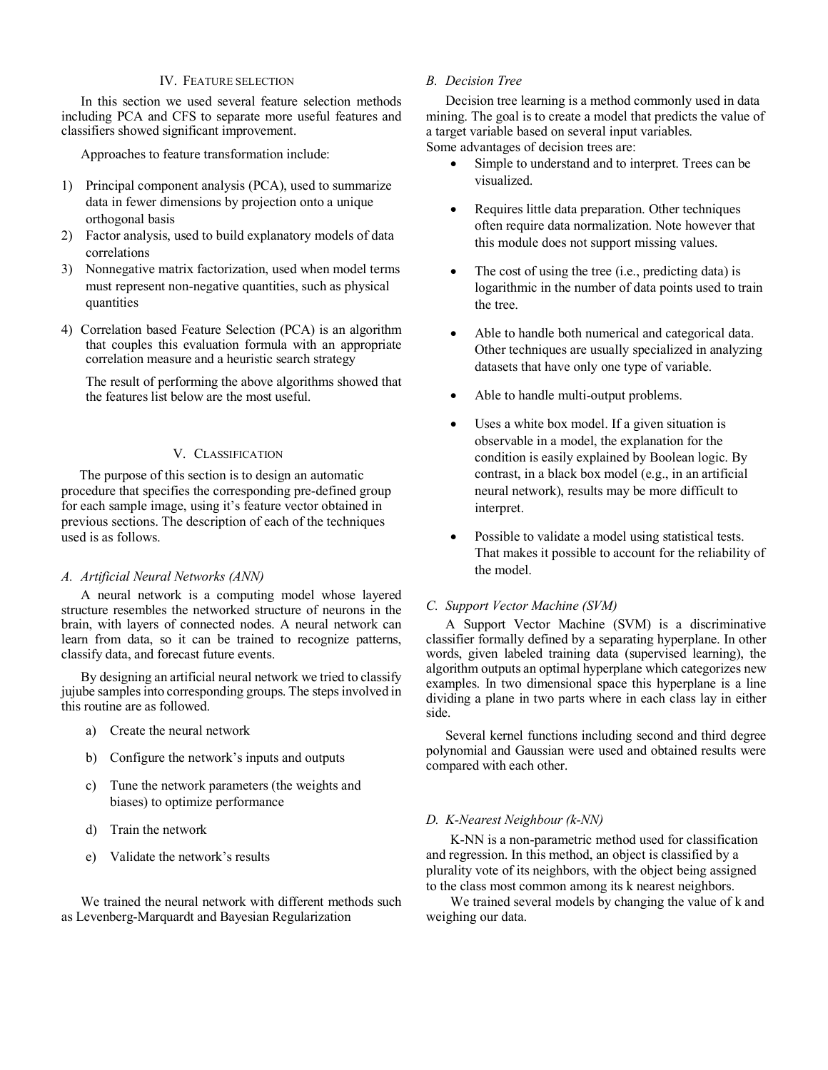## IV. FEATURE SELECTION

In this section we used several feature selection methods including PCA and CFS to separate more useful features and classifiers showed significant improvement.

Approaches to feature transformation include:

- 1) Principal component analysis (PCA), used to summarize data in fewer dimensions by projection onto a unique orthogonal basis
- 2) Factor analysis, used to build explanatory models of data correlations
- 3) Nonnegative matrix factorization, used when model terms must represent non-negative quantities, such as physical quantities
- 4) Correlation based Feature Selection (PCA) is an algorithm that couples this evaluation formula with an appropriate correlation measure and a heuristic search strategy

The result of performing the above algorithms showed that the features list below are the most useful.

# V. CLASSIFICATION

The purpose of this section is to design an automatic procedure that specifies the corresponding pre-defined group for each sample image, using it's feature vector obtained in previous sections. The description of each of the techniques used is as follows.

## *A. Artificial Neural Networks (ANN)*

A neural network is a computing model whose layered structure resembles the networked structure of neurons in the brain, with layers of connected nodes. A neural network can learn from data, so it can be trained to recognize patterns, classify data, and forecast future events.

By designing an artificial neural network we tried to classify jujube samples into corresponding groups. The steps involved in this routine are as followed.

- a) Create the neural network
- b) Configure the network's inputs and outputs
- c) Tune the network parameters (the weights and biases) to optimize performance
- d) Train the network
- e) Validate the network's results

We trained the neural network with different methods such as Levenberg-Marquardt and Bayesian Regularization

## *B. Decision Tree*

Decision tree learning is a method commonly used in data mining. The goal is to create a model that predicts the value of a target variable based on several input variables. Some advantages of decision trees are:

- Simple to understand and to interpret. Trees can be visualized.
- Requires little data preparation. Other techniques often require data normalization. Note however that this module does not support missing values.
- The cost of using the tree (i.e., predicting data) is logarithmic in the number of data points used to train the tree.
- Able to handle both numerical and categorical data. Other techniques are usually specialized in analyzing datasets that have only one type of variable.
- Able to handle multi-output problems.
- Uses a white box model. If a given situation is observable in a model, the explanation for the condition is easily explained by Boolean logic. By contrast, in a black box model (e.g., in an artificial neural network), results may be more difficult to interpret.
- Possible to validate a model using statistical tests. That makes it possible to account for the reliability of the model.

## *C. Support Vector Machine (SVM)*

A Support Vector Machine (SVM) is a discriminative classifier formally defined by a separating hyperplane. In other words, given labeled training data (supervised learning), the algorithm outputs an optimal hyperplane which categorizes new examples. In two dimensional space this hyperplane is a line dividing a plane in two parts where in each class lay in either side.

Several kernel functions including second and third degree polynomial and Gaussian were used and obtained results were compared with each other.

# *D. K-Nearest Neighbour (k-NN)*

K-NN is a non-parametric method used for classification and regression. In this method, an object is classified by a plurality vote of its neighbors, with the object being assigned to the class most common among its k nearest neighbors.

We trained several models by changing the value of k and weighing our data.